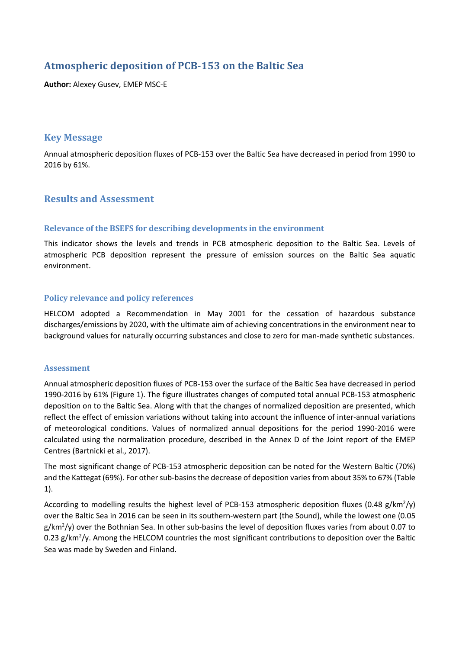# Atmospheric deposition of PCB-153 on the Baltic Sea

**Author:** Alexey Gusev, EMEP MSC-E

# **Key Message**

Annual atmospheric deposition fluxes of PCB-153 over the Baltic Sea have decreased in period from 1990 to 2016 by 61%.

# **Results and Assessment**

### **Relevance of the BSEFS for describing developments in the environment**

This indicator shows the levels and trends in PCB atmospheric deposition to the Baltic Sea. Levels of atmospheric PCB deposition represent the pressure of emission sources on the Baltic Sea aquatic environment.

### **Policy relevance and policy references**

HELCOM adopted a Recommendation in May 2001 for the cessation of hazardous substance discharges/emissions by 2020, with the ultimate aim of achieving concentrations in the environment near to background values for naturally occurring substances and close to zero for man-made synthetic substances.

#### **Assessment**

Annual atmospheric deposition fluxes of PCB-153 over the surface of the Baltic Sea have decreased in period 1990-2016 by 61% (Figure 1). The figure illustrates changes of computed total annual PCB-153 atmospheric deposition on to the Baltic Sea. Along with that the changes of normalized deposition are presented, which reflect the effect of emission variations without taking into account the influence of inter-annual variations of meteorological conditions. Values of normalized annual depositions for the period 1990-2016 were calculated using the normalization procedure, described in the Annex D of the Joint report of the EMEP Centres (Bartnicki et al., 2017).

The most significant change of PCB-153 atmospheric deposition can be noted for the Western Baltic (70%) and the Kattegat (69%). For other sub-basins the decrease of deposition varies from about 35% to 67% (Table 1).

According to modelling results the highest level of PCB-153 atmospheric deposition fluxes (0.48 g/km<sup>2</sup>/y) over the Baltic Sea in 2016 can be seen in its southern-western part (the Sound), while the lowest one (0.05  $g/km^2$ /y) over the Bothnian Sea. In other sub-basins the level of deposition fluxes varies from about 0.07 to 0.23 g/km<sup>2</sup>/y. Among the HELCOM countries the most significant contributions to deposition over the Baltic Sea was made by Sweden and Finland.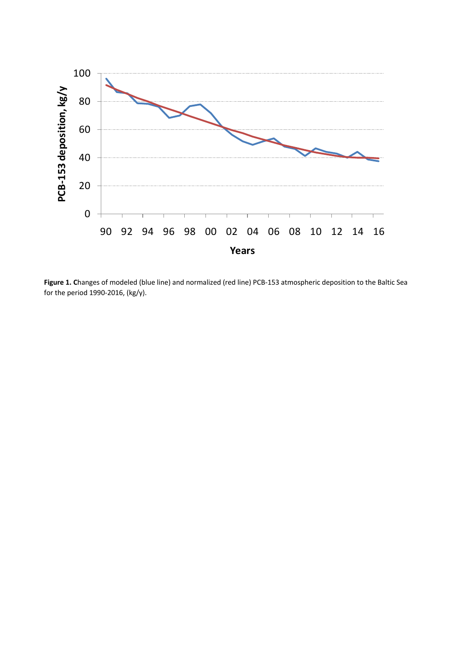

**Figure 1. C**hanges of modeled (blue line) and normalized (red line) PCB-153 atmospheric deposition to the Baltic Sea for the period 1990-2016, (kg/y).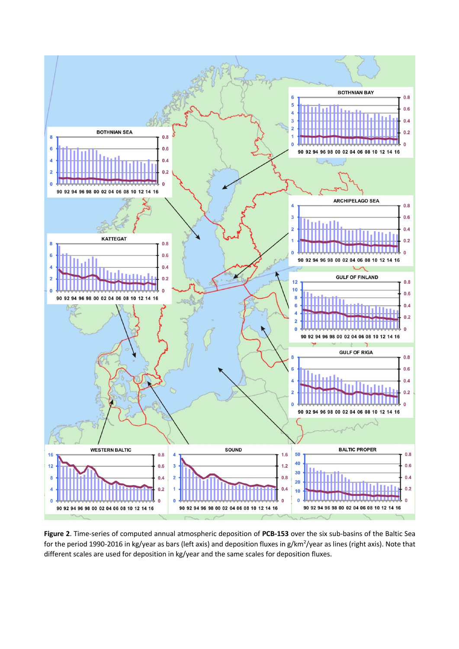

**Figure 2**. Time-series of computed annual atmospheric deposition of **PCB-153** over the six sub-basins of the Baltic Sea for the period 1990-2016 in kg/year as bars (left axis) and deposition fluxes in g/km<sup>2</sup>/year as lines (right axis). Note that different scales are used for deposition in kg/year and the same scales for deposition fluxes.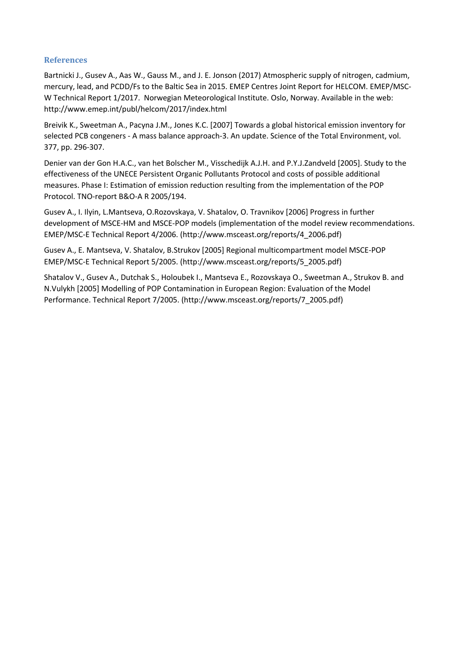#### **References**

Bartnicki J., Gusev A., Aas W., Gauss M., and J. E. Jonson (2017) Atmospheric supply of nitrogen, cadmium, mercury, lead, and PCDD/Fs to the Baltic Sea in 2015. EMEP Centres Joint Report for HELCOM. EMEP/MSC-W Technical Report 1/2017. Norwegian Meteorological Institute. Oslo, Norway. Available in the web: http://www.emep.int/publ/helcom/2017/index.html

Breivik K., Sweetman A., Pacyna J.M., Jones K.C. [2007] Towards a global historical emission inventory for selected PCB congeners - A mass balance approach-3. An update. Science of the Total Environment, vol. 377, pp. 296-307.

Denier van der Gon H.A.C., van het Bolscher M., Visschedijk A.J.H. and P.Y.J.Zandveld [2005]. Study to the effectiveness of the UNECE Persistent Organic Pollutants Protocol and costs of possible additional measures. Phase I: Estimation of emission reduction resulting from the implementation of the POP Protocol. TNO-report B&O-A R 2005/194.

Gusev A., I. Ilyin, L.Mantseva, O.Rozovskaya, V. Shatalov, O. Travnikov [2006] Progress in further development of MSCE-HM and MSCE-POP models (implementation of the model review recommendations. EMEP/MSC-E Technical Report 4/2006. (http://www.msceast.org/reports/4\_2006.pdf)

Gusev A., E. Mantseva, V. Shatalov, B.Strukov [2005] Regional multicompartment model MSCE-POP EMEP/MSC-E Technical Report 5/2005. (http://www.msceast.org/reports/5\_2005.pdf)

Shatalov V., Gusev A., Dutchak S., Holoubek I., Mantseva E., Rozovskaya O., Sweetman A., Strukov B. and N.Vulykh [2005] Modelling of POP Contamination in European Region: Evaluation of the Model Performance. Technical Report 7/2005. (http://www.msceast.org/reports/7\_2005.pdf)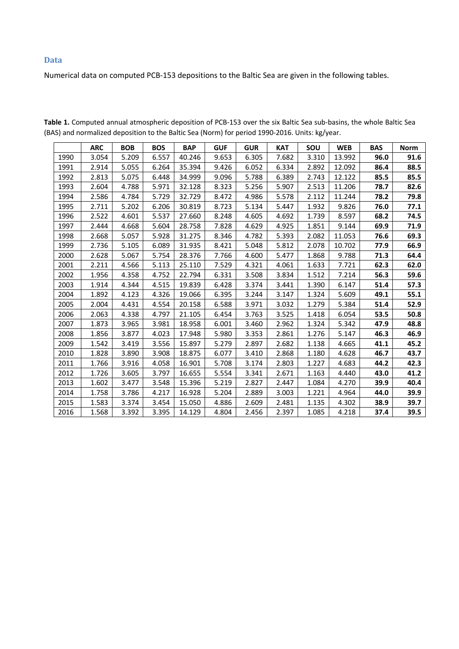#### **Data**

Numerical data on computed PCB-153 depositions to the Baltic Sea are given in the following tables.

|      | <b>ARC</b> | <b>BOB</b> | <b>BOS</b> | <b>BAP</b> | <b>GUF</b> | <b>GUR</b> | <b>KAT</b> | SOU   | <b>WEB</b> | <b>BAS</b> | <b>Norm</b> |
|------|------------|------------|------------|------------|------------|------------|------------|-------|------------|------------|-------------|
| 1990 | 3.054      | 5.209      | 6.557      | 40.246     | 9.653      | 6.305      | 7.682      | 3.310 | 13.992     | 96.0       | 91.6        |
| 1991 | 2.914      | 5.055      | 6.264      | 35.394     | 9.426      | 6.052      | 6.334      | 2.892 | 12.092     | 86.4       | 88.5        |
| 1992 | 2.813      | 5.075      | 6.448      | 34.999     | 9.096      | 5.788      | 6.389      | 2.743 | 12.122     | 85.5       | 85.5        |
| 1993 | 2.604      | 4.788      | 5.971      | 32.128     | 8.323      | 5.256      | 5.907      | 2.513 | 11.206     | 78.7       | 82.6        |
| 1994 | 2.586      | 4.784      | 5.729      | 32.729     | 8.472      | 4.986      | 5.578      | 2.112 | 11.244     | 78.2       | 79.8        |
| 1995 | 2.711      | 5.202      | 6.206      | 30.819     | 8.723      | 5.134      | 5.447      | 1.932 | 9.826      | 76.0       | 77.1        |
| 1996 | 2.522      | 4.601      | 5.537      | 27.660     | 8.248      | 4.605      | 4.692      | 1.739 | 8.597      | 68.2       | 74.5        |
| 1997 | 2.444      | 4.668      | 5.604      | 28.758     | 7.828      | 4.629      | 4.925      | 1.851 | 9.144      | 69.9       | 71.9        |
| 1998 | 2.668      | 5.057      | 5.928      | 31.275     | 8.346      | 4.782      | 5.393      | 2.082 | 11.053     | 76.6       | 69.3        |
| 1999 | 2.736      | 5.105      | 6.089      | 31.935     | 8.421      | 5.048      | 5.812      | 2.078 | 10.702     | 77.9       | 66.9        |
| 2000 | 2.628      | 5.067      | 5.754      | 28.376     | 7.766      | 4.600      | 5.477      | 1.868 | 9.788      | 71.3       | 64.4        |
| 2001 | 2.211      | 4.566      | 5.113      | 25.110     | 7.529      | 4.321      | 4.061      | 1.633 | 7.721      | 62.3       | 62.0        |
| 2002 | 1.956      | 4.358      | 4.752      | 22.794     | 6.331      | 3.508      | 3.834      | 1.512 | 7.214      | 56.3       | 59.6        |
| 2003 | 1.914      | 4.344      | 4.515      | 19.839     | 6.428      | 3.374      | 3.441      | 1.390 | 6.147      | 51.4       | 57.3        |
| 2004 | 1.892      | 4.123      | 4.326      | 19.066     | 6.395      | 3.244      | 3.147      | 1.324 | 5.609      | 49.1       | 55.1        |
| 2005 | 2.004      | 4.431      | 4.554      | 20.158     | 6.588      | 3.971      | 3.032      | 1.279 | 5.384      | 51.4       | 52.9        |
| 2006 | 2.063      | 4.338      | 4.797      | 21.105     | 6.454      | 3.763      | 3.525      | 1.418 | 6.054      | 53.5       | 50.8        |
| 2007 | 1.873      | 3.965      | 3.981      | 18.958     | 6.001      | 3.460      | 2.962      | 1.324 | 5.342      | 47.9       | 48.8        |
| 2008 | 1.856      | 3.877      | 4.023      | 17.948     | 5.980      | 3.353      | 2.861      | 1.276 | 5.147      | 46.3       | 46.9        |
| 2009 | 1.542      | 3.419      | 3.556      | 15.897     | 5.279      | 2.897      | 2.682      | 1.138 | 4.665      | 41.1       | 45.2        |
| 2010 | 1.828      | 3.890      | 3.908      | 18.875     | 6.077      | 3.410      | 2.868      | 1.180 | 4.628      | 46.7       | 43.7        |
| 2011 | 1.766      | 3.916      | 4.058      | 16.901     | 5.708      | 3.174      | 2.803      | 1.227 | 4.683      | 44.2       | 42.3        |
| 2012 | 1.726      | 3.605      | 3.797      | 16.655     | 5.554      | 3.341      | 2.671      | 1.163 | 4.440      | 43.0       | 41.2        |
| 2013 | 1.602      | 3.477      | 3.548      | 15.396     | 5.219      | 2.827      | 2.447      | 1.084 | 4.270      | 39.9       | 40.4        |
| 2014 | 1.758      | 3.786      | 4.217      | 16.928     | 5.204      | 2.889      | 3.003      | 1.221 | 4.964      | 44.0       | 39.9        |
| 2015 | 1.583      | 3.374      | 3.454      | 15.050     | 4.886      | 2.609      | 2.481      | 1.135 | 4.302      | 38.9       | 39.7        |
| 2016 | 1.568      | 3.392      | 3.395      | 14.129     | 4.804      | 2.456      | 2.397      | 1.085 | 4.218      | 37.4       | 39.5        |

**Table 1.** Computed annual atmospheric deposition of PCB-153 over the six Baltic Sea sub-basins, the whole Baltic Sea (BAS) and normalized deposition to the Baltic Sea (Norm) for period 1990-2016. Units: kg/year.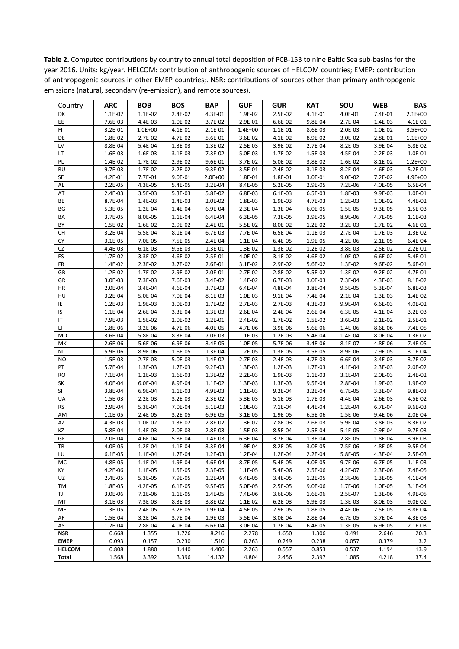**Table 2.** Computed contributions by country to annual total deposition of PCB-153 to nine Baltic Sea sub-basins for the year 2016. Units: kg/year. HELCOM: contribution of anthropogenic sources of HELCOM countries; EMEP: contribution of anthropogenic sources in other EMEP countries;. NSR: contributions of sources other than primary anthropogenic emissions (natural, secondary (re-emission), and remote sources).

| Country                      | <b>ARC</b>       | <b>BOB</b>       | <b>BOS</b>       | <b>BAP</b>       | <b>GUF</b>       | <b>GUR</b>           | <b>KAT</b>       | SOU              | <b>WEB</b>       | <b>BAS</b>      |
|------------------------------|------------------|------------------|------------------|------------------|------------------|----------------------|------------------|------------------|------------------|-----------------|
| DK                           | 1.1E-02          | 1.1E-02          | 2.4E-02          | 4.3E-01          | 1.9E-02          | 2.5E-02              | 4.1E-01          | 4.0E-01          | 7.4E-01          | $2.1E+00$       |
| EE                           | 7.6E-03          | 4.4E-03          | 1.0E-02          | 3.7E-02          | 2.9E-01          | 6.6E-02              | 9.8E-04          | 2.7E-04          | 1.4E-03          | 4.1E-01         |
| FI                           | 3.2E-01          | $1.0E + 00$      | 4.1E-01          | 2.1E-01          | $1.4E + 00$      | 1.1E-01              | 8.6E-03          | 2.0E-03          | 1.0E-02          | $3.5E + 00$     |
| DE                           | 1.8E-02          | 2.7E-02          | 4.7E-02          | 5.6E-01          | 3.6E-02          | 4.1E-02              | 8.9E-02          | 3.0E-02          | 2.8E-01          | $1.1E + 00$     |
| LV                           | 8.8E-04          | 5.4E-04          | 1.3E-03          | 1.3E-02          | 2.5E-03          | 3.9E-02              | 2.7E-04          | 8.2E-05          | 3.9E-04          | 5.8E-02         |
| LT                           | 1.6E-03          | 1.6E-03          | 3.1E-03          | 7.3E-02          | 5.0E-03          | 1.7E-02              | 1.5E-03          | 4.5E-04          | $2.2E-03$        | 1.0E-01         |
| PL                           | 1.4E-02          | 1.7E-02          | 2.9E-02          | 9.6E-01          | 3.7E-02          | 5.0E-02              | 3.8E-02          | 1.6E-02          | 8.1E-02          | $1.2E + 00$     |
| <b>RU</b>                    | 9.7E-03          | 1.7E-02          | 2.2E-02          | 9.3E-02          | 3.5E-01          | 2.4E-02              | $3.1E-03$        | 8.2E-04          | 4.6E-03          | 5.2E-01         |
| <b>SE</b>                    | 4.2E-01          | 7.7E-01          | 9.0E-01          | $2.0E + 00$      | 1.8E-01          | 1.8E-01              | 3.0E-01          | 9.0E-02          | 7.2E-02          | 4.9E+00         |
| AL                           | 2.2E-05          | 4.3E-05          | 5.4E-05          | 3.2E-04          | 8.4E-05          | 5.2E-05              | 2.9E-05          | 7.2E-06          | 4.0E-05          | 6.5E-04         |
| AT                           | 2.4E-03          | 3.5E-03          | 5.3E-03          | 5.8E-02          | 6.8E-03          | $6.1E-03$            | 6.5E-03          | 1.8E-03          | 9.9E-03          | 1.0E-01         |
| BE                           | 8.7E-04          | 1.4E-03          | 2.4E-03          | 2.0E-02          | 1.8E-03          | 1.9E-03              | 4.7E-03          | 1.2E-03          | 1.0E-02          | 4.4E-02         |
| BG                           | 5.3E-05          | 1.2E-04          | 1.4E-04          | 6.9E-04          | 2.3E-04          | 1.3E-04              | 6.0E-05          | 1.5E-05          | 9.3E-05          | 1.5E-03         |
| BA                           | 3.7E-05          | 8.0E-05          | 1.1E-04          | 6.4E-04          | 6.3E-05          | 7.3E-05              | 3.9E-05          | 8.9E-06          | 4.7E-05          | $1.1E-03$       |
| BY                           | 1.5E-02          | 1.6E-02          | 2.9E-02          | 2.4E-01          | 5.5E-02          | 8.0E-02              | 1.2E-02          | 3.2E-03          | 1.7E-02          | 4.6E-01         |
| СH                           | 3.2E-04          | 5.5E-04          | 8.1E-04          | 6.7E-03          | 7.7E-04          | 6.5E-04              | 1.1E-03          | 2.7E-04          | 1.7E-03          | 1.3E-02         |
| CY                           | 3.1E-05          | 7.0E-05          | 7.5E-05          | 2.4E-04          | 1.1E-04          | 6.4E-05              | 1.9E-05          | 4.2E-06          | 2.1E-05          | 6.4E-04         |
| CZ                           | 4.4E-03          | 6.1E-03          | 9.5E-03          | 1.3E-01          | 1.3E-02          | 1.3E-02              | 1.2E-02          | 3.8E-03          | 2.5E-02          | $2.2E-01$       |
| ES                           | 1.7E-02          | 3.3E-02          | 4.6E-02          | 2.5E-01          | 4.0E-02          | $3.1E-02$            | 4.6E-02          | 1.0E-02          | 6.6E-02          | 5.4E-01         |
| FR                           | 1.4E-02          | 2.3E-02          | 3.7E-02          | 2.6E-01          | 3.1E-02          | 2.9E-02              | $5.6E-02$        | 1.3E-02          | 9.6E-02          | 5.6E-01         |
| GB                           | 1.2E-02          | 1.7E-02          | 2.9E-02          | 2.0E-01          | 2.7E-02          | 2.8E-02              | 5.5E-02          | 1.3E-02          | $9.2E - 02$      | 4.7E-01         |
| GR                           | 3.0E-03          | 7.3E-03          | 7.6E-03          | 3.4E-02          | 1.4E-02          | 6.7E-03              | 3.0E-03          | 7.3E-04          | 4.3E-03          | 8.1E-02         |
| <b>HR</b>                    | 2.0E-04          | 3.4E-04          | 4.6E-04          | $3.7E-03$        | 6.4E-04          | 4.8E-04              | 3.8E-04          | 9.5E-05          | 5.3E-04          | 6.8E-03         |
| HU                           | 3.2E-04          | 5.0E-04          | 7.0E-04          | 8.1E-03          | 1.0E-03          | 9.1E-04              | 7.4E-04          | 2.1E-04          | 1.3E-03          | 1.4E-02         |
| IE                           | 1.2E-03          | 1.9E-03          | 3.0E-03          | 1.7E-02          | 2.7E-03          | 2.7E-03              | 4.3E-03          | 9.9E-04          | 6.6E-03          | 4.0E-02         |
| IS                           | 1.1E-04          | 2.6E-04          | 3.3E-04          | 1.3E-03          | 2.6E-04          | 2.4E-04              | 2.6E-04          | 6.3E-05          | 4.1E-04          | $3.2E-03$       |
| IT                           | 7.9E-03          | 1.5E-02          | 2.0E-02          | $1.2E-01$        | 2.4E-02          | 1.7E-02              | 1.5E-02          | 3.6E-03          | 2.1E-02          | 2.5E-01         |
| LI                           | 1.8E-06          | 3.2E-06          | 4.7E-06          | 4.0E-05          | 4.7E-06          | 3.9E-06              | 5.6E-06          | 1.4E-06          | 8.6E-06          | 7.4E-05         |
| MD                           | 3.6E-04          | 5.8E-04          | 8.3E-04          | 7.0E-03          | 1.1E-03          | 1.2E-03              | 5.4E-04          | 1.4E-04          | 8.0E-04          | 1.3E-02         |
| MK                           | 2.6E-06          | 5.6E-06          | 6.9E-06          | 3.4E-05          | 1.0E-05          | 5.7E-06              | 3.4E-06          | 8.1E-07          | 4.8E-06          | 7.4E-05         |
| <b>NL</b>                    | 5.9E-06          | 8.9E-06          | 1.6E-05          | 1.3E-04          | 1.2E-05          | 1.3E-05              | 3.5E-05          | 8.9E-06          | 7.9E-05          | 3.1E-04         |
| <b>NO</b>                    | 1.5E-03          | 2.7E-03          | 5.0E-03          | 1.4E-02          | 2.7E-03          | 2.4E-03              | 4.7E-03          | 6.6E-04          | 3.4E-03          | 3.7E-02         |
| PT                           | 5.7E-04          | 1.3E-03          | 1.7E-03          | $9.2E-03$        | 1.3E-03          | 1.2E-03              | 1.7E-03          | 4.1E-04          | 2.3E-03          | 2.0E-02         |
| <b>RO</b>                    | 7.1E-04          | 1.2E-03          | 1.6E-03          | 1.3E-02          | $2.2E-03$        | 1.9E-03              | 1.1E-03          | 3.1E-04          | 2.0E-03          | 2.4E-02         |
| SK                           | 4.0E-04          | 6.0E-04          | 8.9E-04          | 1.1E-02          | 1.3E-03          | 1.3E-03              | 9.5E-04          | 2.8E-04          | 1.9E-03          | 1.9E-02         |
| SI                           | 3.8E-04          | 6.9E-04          | 1.1E-03          | 4.9E-03          | 1.1E-03          | 9.2E-04              | 3.2E-04          | 6.7E-05          | 3.3E-04          | 9.8E-03         |
| UA                           | 1.5E-03          | $2.2E-03$        | $3.2E - 03$      | 2.3E-02          | 5.3E-03          | $5.1E-03$            | 1.7E-03          | 4.4E-04          | 2.6E-03          | 4.5E-02         |
| <b>RS</b>                    | 2.9E-04          | 5.3E-04          | 7.0E-04          | 5.1E-03          | 1.0E-03          | 7.1E-04              | 4.4E-04          | 1.2E-04          | 6.7E-04          | 9.6E-03         |
| AM                           | 1.1E-05          | 2.4E-05          | 3.2E-05          | 6.9E-05          | 3.1E-05          | 1.9E-05              | 6.5E-06          | 1.5E-06          | 9.4E-06          | 2.0E-04         |
| AZ                           | 4.3E-03          | 1.0E-02          | 1.3E-02          | 2.8E-02          | 1.3E-02          | 7.8E-03              | 2.6E-03          | 5.9E-04          | 3.8E-03          | 8.3E-02         |
| KZ                           | 5.8E-04          | 1.4E-03          | 2.0E-03          | 2.8E-03          | 1.5E-03          | 8.5E-04              | 2.5E-04          | 5.1E-05          | 2.9E-04          | 9.7E-03         |
| GE                           | 2.0E-04          | 4.6E-04          | 5.8E-04          | 1.4E-03          | 6.3E-04          | 3.7E-04              | 1.3E-04          | 2.8E-05          | 1.8E-04          | 3.9E-03         |
| TR                           | 4.0E-05          | 1.2E-04          | $1.1E - 04$      | 3.3E-04          | 1.9E-04          | 8.2E-05              | 3.0E-05          | 7.5E-06          | 4.8E-05          | 9.5E-04         |
| LU                           | 6.1E-05          | 1.1E-04          | 1.7E-04          | 1.2E-03          | 1.2E-04          | 1.2E-04              | 2.2E-04          | 5.8E-05          | 4.3E-04          | 2.5E-03         |
| MC                           | 4.8E-05          | $1.1E-04$        | 1.9E-04          | 4.6E-04          | 8.7E-05          | 5.4E-05              | 4.0E-05          | 9.7E-06          | 6.7E-05          | 1.1E-03         |
| КY                           | 4.2E-06          | 1.1E-05          | 1.5E-05          | 2.3E-05          | 1.1E-05          | 5.4E-06              | 2.5E-06          | 4.2E-07          | 2.3E-06          | 7.4E-05         |
| UZ                           | 2.4E-05          | 5.3E-05          | 7.9E-05          | 1.2E-04          | 6.4E-05          | 3.4E-05              | 1.2E-05          | 2.3E-06          | 1.3E-05          | 4.1E-04         |
| TM                           | 1.8E-05          | 4.2E-05          | 6.1E-05          | 9.5E-05          | 5.0E-05          | 2.5E-05              | 9.0E-06          | 1.7E-06          | 1.0E-05          | $3.1E-04$       |
| TJ                           | 3.0E-06          | 7.2E-06          | 1.1E-05          | 1.4E-05          | 7.4E-06          | 3.6E-06              | 1.6E-06          | 2.5E-07          | 1.3E-06          | 4.9E-05         |
| MT                           | 3.1E-03          | 7.3E-03          | 8.3E-03          | 3.8E-02          | 1.1E-02          | $6.2E-03$<br>2.9E-05 | 5.9E-03          | 1.3E-03          | 8.0E-03          | 9.0E-02         |
| ME                           | 1.3E-05          | 2.4E-05          | 3.2E-05          | 1.9E-04          | 4.5E-05          |                      | 1.8E-05          | 4.4E-06          | 2.5E-05          | 3.8E-04         |
| AF                           | 1.5E-04          | 3.2E-04          | 3.7E-04          | 1.9E-03          | 5.5E-04          | 3.0E-04              | 2.8E-04          | 6.7E-05          | 3.7E-04          | 4.3E-03         |
| AS<br><b>NSR</b>             | 1.2E-04<br>0.668 | 2.8E-04<br>1.355 | 4.0E-04<br>1.726 | 6.6E-04<br>8.216 | 3.0E-04<br>2.278 | 1.7E-04<br>1.650     | 6.4E-05<br>1.306 | 1.3E-05<br>0.491 | 6.9E-05<br>2.646 | 2.1E-03<br>20.3 |
|                              |                  |                  |                  |                  |                  |                      |                  |                  |                  |                 |
| <b>EMEP</b><br><b>HELCOM</b> | 0.093            | 0.157            | 0.230            | 1.510<br>4.406   | 0.263<br>2.263   | 0.249                | 0.238            | 0.057            | 0.379            | 3.2             |
| Total                        | 0.808<br>1.568   | 1.880<br>3.392   | 1.440<br>3.396   | 14.132           | 4.804            | 0.557<br>2.456       | 0.853<br>2.397   | 0.537<br>1.085   | 1.194<br>4.218   | 13.9<br>37.4    |
|                              |                  |                  |                  |                  |                  |                      |                  |                  |                  |                 |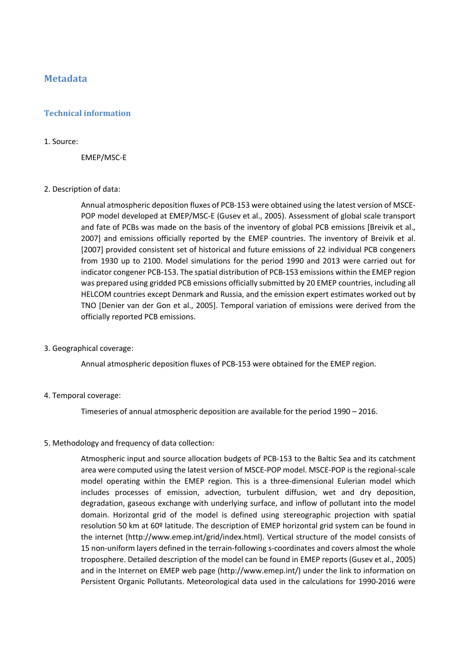# **Metadata**

## **Technical information**

#### 1. Source:

EMEP/MSC-E

#### 2. Description of data:

Annual atmospheric deposition fluxes of PCB-153 were obtained using the latest version of MSCE-POP model developed at EMEP/MSC-E (Gusev et al., 2005). Assessment of global scale transport and fate of PCBs was made on the basis of the inventory of global PCB emissions [Breivik et al., 2007] and emissions officially reported by the EMEP countries. The inventory of Breivik et al. [2007] provided consistent set of historical and future emissions of 22 individual PCB congeners from 1930 up to 2100. Model simulations for the period 1990 and 2013 were carried out for indicator congener PCB-153. The spatial distribution of PCB-153 emissions within the EMEP region was prepared using gridded PCB emissions officially submitted by 20 EMEP countries, including all HELCOM countries except Denmark and Russia, and the emission expert estimates worked out by TNO [Denier van der Gon et al., 2005]. Temporal variation of emissions were derived from the officially reported PCB emissions.

#### 3. Geographical coverage:

Annual atmospheric deposition fluxes of PCB-153 were obtained for the EMEP region.

#### 4. Temporal coverage:

Timeseries of annual atmospheric deposition are available for the period 1990 – 2016.

#### 5. Methodology and frequency of data collection:

Atmospheric input and source allocation budgets of PCB-153 to the Baltic Sea and its catchment area were computed using the latest version of MSCE-POP model. MSCE-POP is the regional-scale model operating within the EMEP region. This is a three-dimensional Eulerian model which includes processes of emission, advection, turbulent diffusion, wet and dry deposition, degradation, gaseous exchange with underlying surface, and inflow of pollutant into the model domain. Horizontal grid of the model is defined using stereographic projection with spatial resolution 50 km at 60º latitude. The description of EMEP horizontal grid system can be found in the internet (http://www.emep.int/grid/index.html). Vertical structure of the model consists of 15 non-uniform layers defined in the terrain-following s-coordinates and covers almost the whole troposphere. Detailed description of the model can be found in EMEP reports (Gusev et al., 2005) and in the Internet on EMEP web page (http://www.emep.int/) under the link to information on Persistent Organic Pollutants. Meteorological data used in the calculations for 1990-2016 were